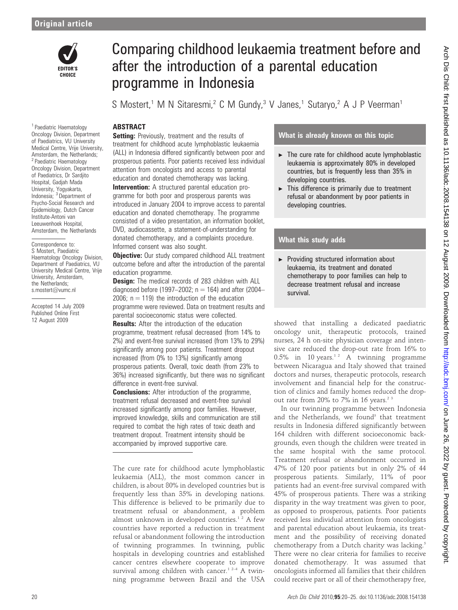

# Comparing childhood leukaemia treatment before and after the introduction of a parental education programme in Indonesia

S Mostert,<sup>1</sup> M N Sitaresmi,<sup>2</sup> C M Gundy,<sup>3</sup> V Janes,<sup>1</sup> Sutaryo,<sup>2</sup> A J P Veerman<sup>1</sup>

## **ABSTRACT**

<sup>1</sup> Paediatric Haematology Oncology Division, Department of Paediatrics, VU University Medical Centre, Vrije University, Amsterdam, the Netherlands; <sup>2</sup> Paediatric Haematology Oncology Division, Department of Paediatrics, Dr Sardjito Hospital, Gadjah Mada University, Yogyakarta, Indonesia; <sup>3</sup> Department of Psycho-Social Research and Epidemiology, Dutch Cancer Institute-Antoni van Leeuwenhoek Hospital, Amsterdam, the Netherlands

Correspondence to: S Mostert, Paediatric Haematology Oncology Division, Department of Paediatrics, VU University Medical Centre, Vrije University, Amsterdam, the Netherlands; s.mostert@vumc.nl

Accepted 14 July 2009 Published Online First 12 August 2009

Setting: Previously, treatment and the results of treatment for childhood acute lymphoblastic leukaemia (ALL) in Indonesia differed significantly between poor and prosperous patients. Poor patients received less individual attention from oncologists and access to parental education and donated chemotherapy was lacking. Intervention: A structured parental education programme for both poor and prosperous parents was introduced in January 2004 to improve access to parental education and donated chemotherapy. The programme consisted of a video presentation, an information booklet, DVD, audiocassette, a statement-of-understanding for donated chemotherapy, and a complaints procedure. Informed consent was also sought.

**Objective:** Our study compared childhood ALL treatment outcome before and after the introduction of the parental education programme.

**Design:** The medical records of 283 children with ALL diagnosed before (1997–2002;  $n = 164$ ) and after (2004– 2006;  $n = 119$ ) the introduction of the education programme were reviewed. Data on treatment results and parental socioeconomic status were collected.

**Results:** After the introduction of the education programme, treatment refusal decreased (from 14% to 2%) and event-free survival increased (from 13% to 29%) significantly among poor patients. Treatment dropout increased (from 0% to 13%) significantly among prosperous patients. Overall, toxic death (from 23% to 36%) increased significantly, but there was no significant difference in event-free survival.

**Conclusions:** After introduction of the programme, treatment refusal decreased and event-free survival increased significantly among poor families. However, improved knowledge, skills and communication are still required to combat the high rates of toxic death and treatment dropout. Treatment intensity should be accompanied by improved supportive care.

The cure rate for childhood acute lymphoblastic leukaemia (ALL), the most common cancer in children, is about 80% in developed countries but is frequently less than 35% in developing nations. This difference is believed to be primarily due to treatment refusal or abandonment, a problem almost unknown in developed countries.<sup>12</sup> A few countries have reported a reduction in treatment refusal or abandonment following the introduction of twinning programmes. In twinning, public hospitals in developing countries and established cancer centres elsewhere cooperate to improve survival among children with cancer.<sup>12-4</sup> A twinning programme between Brazil and the USA

## What is already known on this topic

- $\blacktriangleright$  The cure rate for childhood acute lymphoblastic leukaemia is approximately 80% in developed countries, but is frequently less than 35% in developing countries.
- $\blacktriangleright$  This difference is primarily due to treatment refusal or abandonment by poor patients in developing countries.

## What this study adds

 $\blacktriangleright$  Providing structured information about leukaemia, its treatment and donated chemotherapy to poor families can help to decrease treatment refusal and increase survival.

showed that installing a dedicated paediatric oncology unit, therapeutic protocols, trained nurses, 24 h on-site physician coverage and intensive care reduced the drop-out rate from 16% to 0.5% in 10 years.<sup>12</sup> A twinning programme between Nicaragua and Italy showed that trained doctors and nurses, therapeutic protocols, research involvement and financial help for the construction of clinics and family homes reduced the dropout rate from 20% to 7% in 16 years.<sup>23</sup>

In our twinning programme between Indonesia and the Netherlands, we found<sup>5</sup> that treatment results in Indonesia differed significantly between 164 children with different socioeconomic backgrounds, even though the children were treated in the same hospital with the same protocol. Treatment refusal or abandonment occurred in 47% of 120 poor patients but in only 2% of 44 prosperous patients. Similarly, 11% of poor patients had an event-free survival compared with 45% of prosperous patients. There was a striking disparity in the way treatment was given to poor, as opposed to prosperous, patients. Poor patients received less individual attention from oncologists and parental education about leukaemia, its treatment and the possibility of receiving donated chemotherapy from a Dutch charity was lacking.<sup>5</sup> There were no clear criteria for families to receive donated chemotherapy. It was assumed that oncologists informed all families that their children could receive part or all of their chemotherapy free,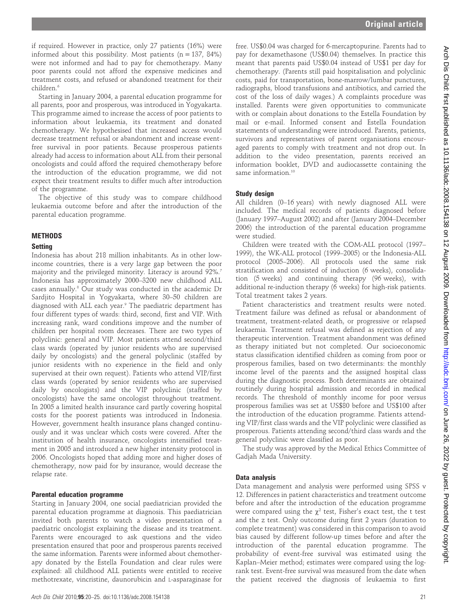if required. However in practice, only 27 patients (16%) were informed about this possibility. Most patients  $(n = 137, 84\%)$ were not informed and had to pay for chemotherapy. Many poor parents could not afford the expensive medicines and treatment costs, and refused or abandoned treatment for their children.6

Starting in January 2004, a parental education programme for all parents, poor and prosperous, was introduced in Yogyakarta. This programme aimed to increase the access of poor patients to information about leukaemia, its treatment and donated chemotherapy. We hypothesised that increased access would decrease treatment refusal or abandonment and increase eventfree survival in poor patients. Because prosperous patients already had access to information about ALL from their personal oncologists and could afford the required chemotherapy before the introduction of the education programme, we did not expect their treatment results to differ much after introduction of the programme.

The objective of this study was to compare childhood leukaemia outcome before and after the introduction of the parental education programme.

## **METHODS**

### **Setting**

Indonesia has about 218 million inhabitants. As in other lowincome countries, there is a very large gap between the poor majority and the privileged minority. Literacy is around 92%.7 Indonesia has approximately 2000–3200 new childhood ALL cases annually.<sup>8</sup> Our study was conducted in the academic Dr Sardjito Hospital in Yogyakarta, where 30–50 children are diagnosed with ALL each year.9 The paediatric department has four different types of wards: third, second, first and VIP. With increasing rank, ward conditions improve and the number of children per hospital room decreases. There are two types of polyclinic: general and VIP. Most patients attend second/third class wards (operated by junior residents who are supervised daily by oncologists) and the general polyclinic (staffed by junior residents with no experience in the field and only supervised at their own request). Patients who attend VIP/first class wards (operated by senior residents who are supervised daily by oncologists) and the VIP polyclinic (staffed by oncologists) have the same oncologist throughout treatment. In 2005 a limited health insurance card partly covering hospital costs for the poorest patients was introduced in Indonesia. However, government health insurance plans changed continuously and it was unclear which costs were covered. After the institution of health insurance, oncologists intensified treatment in 2005 and introduced a new higher intensity protocol in 2006. Oncologists hoped that adding more and higher doses of chemotherapy, now paid for by insurance, would decrease the relapse rate.

### Parental education programme

Starting in January 2004, one social paediatrician provided the parental education programme at diagnosis. This paediatrician invited both parents to watch a video presentation of a paediatric oncologist explaining the disease and its treatment. Parents were encouraged to ask questions and the video presentation ensured that poor and prosperous parents received the same information. Parents were informed about chemotherapy donated by the Estella Foundation and clear rules were explained: all childhood ALL patients were entitled to receive methotrexate, vincristine, daunorubicin and L-asparaginase for

free. US\$0.04 was charged for 6-mercaptopurine. Parents had to pay for dexamethasone (US\$0.04) themselves. In practice this meant that parents paid US\$0.04 instead of US\$1 per day for chemotherapy. (Parents still paid hospitalisation and polyclinic costs, paid for transportation, bone-marrow/lumbar punctures, radiographs, blood transfusions and antibiotics, and carried the cost of the loss of daily wages.) A complaints procedure was installed. Parents were given opportunities to communicate with or complain about donations to the Estella Foundation by mail or e-mail. Informed consent and Estella Foundation statements of understanding were introduced. Parents, patients, survivors and representatives of parent organisations encouraged parents to comply with treatment and not drop out. In addition to the video presentation, parents received an information booklet, DVD and audiocassette containing the same information.<sup>10</sup>

## Study design

All children (0–16 years) with newly diagnosed ALL were included. The medical records of patients diagnosed before (January 1997–August 2002) and after (January 2004–December 2006) the introduction of the parental education programme were studied.

Children were treated with the COM-ALL protocol (1997– 1999), the WK-ALL protocol (1999–2005) or the Indonesia-ALL protocol (2005–2006). All protocols used the same risk stratification and consisted of induction (6 weeks), consolidation (5 weeks) and continuing therapy (96 weeks), with additional re-induction therapy (6 weeks) for high-risk patients. Total treatment takes 2 years.

Patient characteristics and treatment results were noted. Treatment failure was defined as refusal or abandonment of treatment, treatment-related death, or progressive or relapsed leukaemia. Treatment refusal was defined as rejection of any therapeutic intervention. Treatment abandonment was defined as therapy initiated but not completed. Our socioeconomic status classification identified children as coming from poor or prosperous families, based on two determinants: the monthly income level of the parents and the assigned hospital class during the diagnostic process. Both determinants are obtained routinely during hospital admission and recorded in medical records. The threshold of monthly income for poor versus prosperous families was set at US\$80 before and US\$100 after the introduction of the education programme. Patients attending VIP/first class wards and the VIP polyclinic were classified as prosperous. Patients attending second/third class wards and the general polyclinic were classified as poor.

The study was approved by the Medical Ethics Committee of Gadjah Mada University.

#### Data analysis

Data management and analysis were performed using SPSS v 12. Differences in patient characteristics and treatment outcome before and after the introduction of the education programme were compared using the  $\chi^2$  test, Fisher's exact test, the t test and the z test. Only outcome during first 2 years (duration to complete treatment) was considered in this comparison to avoid bias caused by different follow-up times before and after the introduction of the parental education programme. The probability of event-free survival was estimated using the Kaplan–Meier method; estimates were compared using the logrank test. Event-free survival was measured from the date when the patient received the diagnosis of leukaemia to first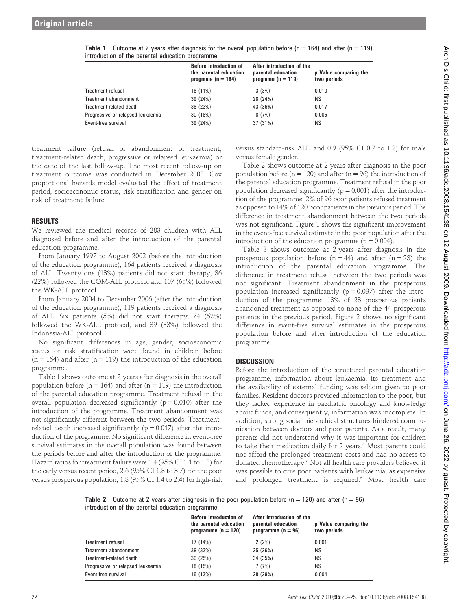|                                   | <b>Before introduction of</b><br>the parental education<br>progmme $(n = 164)$ | After introduction of the<br>parental education<br>progmme $(n = 119)$ | p Value comparing the<br>two periods |
|-----------------------------------|--------------------------------------------------------------------------------|------------------------------------------------------------------------|--------------------------------------|
| Treatment refusal                 | 18 (11%)                                                                       | 3(3%)                                                                  | 0.010                                |
| Treatment abandonment             | 39 (24%)                                                                       | 28 (24%)                                                               | <b>NS</b>                            |
| Treatment-related death           | 38 (23%)                                                                       | 43 (36%)                                                               | 0.017                                |
| Progressive or relapsed leukaemia | 30 (18%)                                                                       | 8(7%)                                                                  | 0.005                                |
| Event-free survival               | 39 (24%)                                                                       | 37 (31%)                                                               | <b>NS</b>                            |

**Table 1** Outcome at 2 years after diagnosis for the overall population before ( $n = 164$ ) and after ( $n = 119$ ) introduction of the parental education programme

treatment failure (refusal or abandonment of treatment, treatment-related death, progressive or relapsed leukaemia) or the date of the last follow-up. The most recent follow-up on treatment outcome was conducted in December 2008. Cox proportional hazards model evaluated the effect of treatment period, socioeconomic status, risk stratification and gender on risk of treatment failure.

## RESULTS

We reviewed the medical records of 283 children with ALL diagnosed before and after the introduction of the parental education programme.

From January 1997 to August 2002 (before the introduction of the education programme), 164 patients received a diagnosis of ALL. Twenty one (13%) patients did not start therapy, 36 (22%) followed the COM-ALL protocol and 107 (65%) followed the WK-ALL protocol.

From January 2004 to December 2006 (after the introduction of the education programme), 119 patients received a diagnosis of ALL. Six patients (5%) did not start therapy, 74 (62%) followed the WK-ALL protocol, and 39 (33%) followed the Indonesia-ALL protocol.

No significant differences in age, gender, socioeconomic status or risk stratification were found in children before  $(n = 164)$  and after  $(n = 119)$  the introduction of the education programme.

Table 1 shows outcome at 2 years after diagnosis in the overall population before ( $n = 164$ ) and after ( $n = 119$ ) the introduction of the parental education programme. Treatment refusal in the overall population decreased significantly ( $p = 0.010$ ) after the introduction of the programme. Treatment abandonment was not significantly different between the two periods. Treatmentrelated death increased significantly ( $p = 0.017$ ) after the introduction of the programme. No significant difference in event-free survival estimates in the overall population was found between the periods before and after the introduction of the programme. Hazard ratios for treatment failure were 1.4 (95% CI 1.1 to 1.8) for the early versus recent period, 2.6 (95% CI 1.8 to 3.7) for the poor versus prosperous population, 1.8 (95% CI 1.4 to 2.4) for high-risk

versus standard-risk ALL, and 0.9 (95% CI 0.7 to 1.2) for male versus female gender.

Table 2 shows outcome at 2 years after diagnosis in the poor population before ( $n = 120$ ) and after ( $n = 96$ ) the introduction of the parental education programme. Treatment refusal in the poor population decreased significantly ( $p = 0.001$ ) after the introduction of the programme: 2% of 96 poor patients refused treatment as opposed to 14% of 120 poor patients in the previous period. The difference in treatment abandonment between the two periods was not significant. Figure 1 shows the significant improvement in the event-free survival estimate in the poor population after the introduction of the education programme ( $p = 0.004$ ).

Table 3 shows outcome at 2 years after diagnosis in the prosperous population before  $(n = 44)$  and after  $(n = 23)$  the introduction of the parental education programme. The difference in treatment refusal between the two periods was not significant. Treatment abandonment in the prosperous population increased significantly ( $p = 0.037$ ) after the introduction of the programme: 13% of 23 prosperous patients abandoned treatment as opposed to none of the 44 prosperous patients in the previous period. Figure 2 shows no significant difference in event-free survival estimates in the prosperous population before and after introduction of the education programme.

## **DISCUSSION**

Before the introduction of the structured parental education programme, information about leukaemia, its treatment and the availability of external funding was seldom given to poor families. Resident doctors provided information to the poor, but they lacked experience in paediatric oncology and knowledge about funds, and consequently, information was incomplete. In addition, strong social hierarchical structures hindered communication between doctors and poor parents. As a result, many parents did not understand why it was important for children to take their medication daily for 2 years.<sup>5</sup> Most parents could not afford the prolonged treatment costs and had no access to donated chemotherapy.6 Not all health care providers believed it was possible to cure poor patients with leukaemia, as expensive and prolonged treatment is required.<sup>5</sup> Most health care

**Table 2** Outcome at 2 years after diagnosis in the poor population before ( $n = 120$ ) and after ( $n = 96$ ) introduction of the parental education programme

|                                   | <b>Before introduction of</b><br>the parental education<br>programme $(n = 120)$ | After introduction of the<br>parental education<br>programme $(n = 96)$ | p Value comparing the<br>two periods |
|-----------------------------------|----------------------------------------------------------------------------------|-------------------------------------------------------------------------|--------------------------------------|
| Treatment refusal                 | 17 (14%)                                                                         | 2(2%)                                                                   | 0.001                                |
| Treatment abandonment             | 39 (33%)                                                                         | 25 (26%)                                                                | <b>NS</b>                            |
| Treatment-related death           | 30 (25%)                                                                         | 34 (35%)                                                                | <b>NS</b>                            |
| Progressive or relapsed leukaemia | 18 (15%)                                                                         | 7 (7%)                                                                  | <b>NS</b>                            |
| Event-free survival               | 16 (13%)                                                                         | 28 (29%)                                                                | 0.004                                |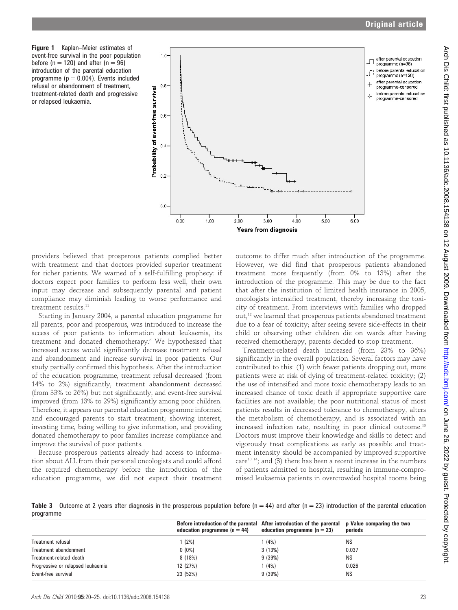Figure 1 Kaplan–Meier estimates of event-free survival in the poor population before  $(n = 120)$  and after  $(n = 96)$ introduction of the parental education programme ( $p = 0.004$ ). Events included refusal or abandonment of treatment, treatment-related death and progressive or relapsed leukaemia.



providers believed that prosperous patients complied better with treatment and that doctors provided superior treatment for richer patients. We warned of a self-fulfilling prophecy: if doctors expect poor families to perform less well, their own input may decrease and subsequently parental and patient compliance may diminish leading to worse performance and treatment results.<sup>11</sup>

Starting in January 2004, a parental education programme for all parents, poor and prosperous, was introduced to increase the access of poor patients to information about leukaemia, its treatment and donated chemotherapy.<sup>6</sup> We hypothesised that increased access would significantly decrease treatment refusal and abandonment and increase survival in poor patients. Our study partially confirmed this hypothesis. After the introduction of the education programme, treatment refusal decreased (from 14% to 2%) significantly, treatment abandonment decreased (from 33% to 26%) but not significantly, and event-free survival improved (from 13% to 29%) significantly among poor children. Therefore, it appears our parental education programme informed and encouraged parents to start treatment; showing interest, investing time, being willing to give information, and providing donated chemotherapy to poor families increase compliance and improve the survival of poor patients.

Because prosperous patients already had access to information about ALL from their personal oncologists and could afford the required chemotherapy before the introduction of the education programme, we did not expect their treatment outcome to differ much after introduction of the programme. However, we did find that prosperous patients abandoned treatment more frequently (from 0% to 13%) after the introduction of the programme. This may be due to the fact that after the institution of limited health insurance in 2005, oncologists intensified treatment, thereby increasing the toxicity of treatment. From interviews with families who dropped out,<sup>12</sup> we learned that prosperous patients abandoned treatment due to a fear of toxicity; after seeing severe side-effects in their child or observing other children die on wards after having received chemotherapy, parents decided to stop treatment.

Treatment-related death increased (from 23% to 36%) significantly in the overall population. Several factors may have contributed to this: (1) with fewer patients dropping out, more patients were at risk of dying of treatment-related toxicity; (2) the use of intensified and more toxic chemotherapy leads to an increased chance of toxic death if appropriate supportive care facilities are not available; the poor nutritional status of most patients results in decreased tolerance to chemotherapy, alters the metabolism of chemotherapy, and is associated with an increased infection rate, resulting in poor clinical outcome.<sup>13</sup> Doctors must improve their knowledge and skills to detect and vigorously treat complications as early as possible and treatment intensity should be accompanied by improved supportive care<sup>10 14</sup>; and (3) there has been a recent increase in the numbers of patients admitted to hospital, resulting in immune-compromised leukaemia patients in overcrowded hospital rooms being

Table 3 Outcome at 2 years after diagnosis in the prosperous population before ( $n = 44$ ) and after ( $n = 23$ ) introduction of the parental education programme

|                                   | Before introduction of the parental After introduction of the parental<br>education programme ( $n = 44$ ) | education programme ( $n = 23$ ) | p Value comparing the two<br>periods |
|-----------------------------------|------------------------------------------------------------------------------------------------------------|----------------------------------|--------------------------------------|
| Treatment refusal                 | (2%)                                                                                                       | (4%)                             | ΝS                                   |
| Treatment abandonment             | $0(0\%)$                                                                                                   | 3(13%)                           | 0.037                                |
| Treatment-related death           | 8(18%)                                                                                                     | 9 (39%)                          | <b>NS</b>                            |
| Progressive or relapsed leukaemia | 12 (27%)                                                                                                   | (4%)                             | 0.026                                |
| Event-free survival               | 23 (52%)                                                                                                   | 9 (39%)                          | <b>NS</b>                            |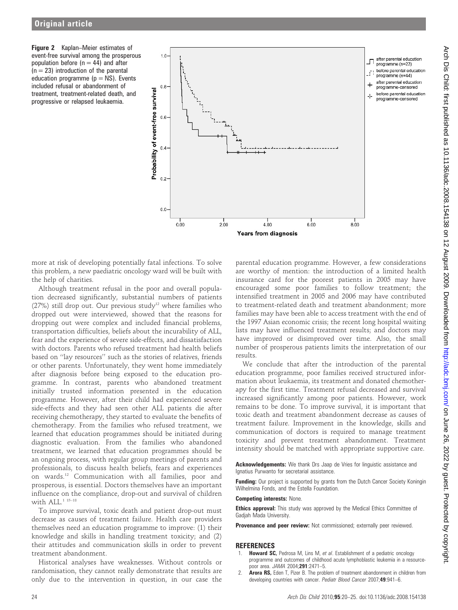



more at risk of developing potentially fatal infections. To solve this problem, a new paediatric oncology ward will be built with the help of charities.

Although treatment refusal in the poor and overall population decreased significantly, substantial numbers of patients ( $27\%$ ) still drop out. Our previous study<sup>12</sup> where families who dropped out were interviewed, showed that the reasons for dropping out were complex and included financial problems, transportation difficulties, beliefs about the incurability of ALL, fear and the experience of severe side-effects, and dissatisfaction with doctors. Parents who refused treatment had health beliefs based on ''lay resources'' such as the stories of relatives, friends or other parents. Unfortunately, they went home immediately after diagnosis before being exposed to the education programme. In contrast, parents who abandoned treatment initially trusted information presented in the education programme. However, after their child had experienced severe side-effects and they had seen other ALL patients die after receiving chemotherapy, they started to evaluate the benefits of chemotherapy. From the families who refused treatment, we learned that education programmes should be initiated during diagnostic evaluation. From the families who abandoned treatment, we learned that education programmes should be an ongoing process, with regular group meetings of parents and professionals, to discuss health beliefs, fears and experiences on wards.12 Communication with all families, poor and prosperous, is essential. Doctors themselves have an important influence on the compliance, drop-out and survival of children with ALL. $1 15-18$ 

To improve survival, toxic death and patient drop-out must decrease as causes of treatment failure. Health care providers themselves need an education programme to improve: (1) their knowledge and skills in handling treatment toxicity; and (2) their attitudes and communication skills in order to prevent treatment abandonment.

Historical analyses have weaknesses. Without controls or randomisation, they cannot really demonstrate that results are only due to the intervention in question, in our case the

parental education programme. However, a few considerations are worthy of mention: the introduction of a limited health insurance card for the poorest patients in 2005 may have encouraged some poor families to follow treatment; the intensified treatment in 2005 and 2006 may have contributed to treatment-related death and treatment abandonment; more families may have been able to access treatment with the end of the 1997 Asian economic crisis; the recent long hospital waiting lists may have influenced treatment results; and doctors may have improved or disimproved over time. Also, the small number of prosperous patients limits the interpretation of our results.

We conclude that after the introduction of the parental education programme, poor families received structured information about leukaemia, its treatment and donated chemotherapy for the first time. Treatment refusal decreased and survival increased significantly among poor patients. However, work remains to be done. To improve survival, it is important that toxic death and treatment abandonment decrease as causes of treatment failure. Improvement in the knowledge, skills and communication of doctors is required to manage treatment toxicity and prevent treatment abandonment. Treatment intensity should be matched with appropriate supportive care.

Acknowledgements: We thank Drs Jaap de Vries for linguistic assistance and Ignatius Purwanto for secretarial assistance.

**Funding:** Our project is supported by grants from the Dutch Cancer Society Koningin Wilhelmina Fonds, and the Estella Foundation.

### Competing interests: None.

**Ethics approval:** This study was approved by the Medical Ethics Committee of Gadjah Mada University.

Provenance and peer review: Not commissioned; externally peer reviewed.

## **REFERENCES**

- 1. **Howard SC,** Pedrosa M, Lins M, et al. Establishment of a pediatric oncology programme and outcomes of childhood acute lymphoblastic leukemia in a resourcepoor area. JAMA 2004;291:2471–5.
- Arora RS, Eden T, Pizer B. The problem of treatment abandonment in children from developing countries with cancer. Pediatr Blood Cancer 2007;49:941-6.